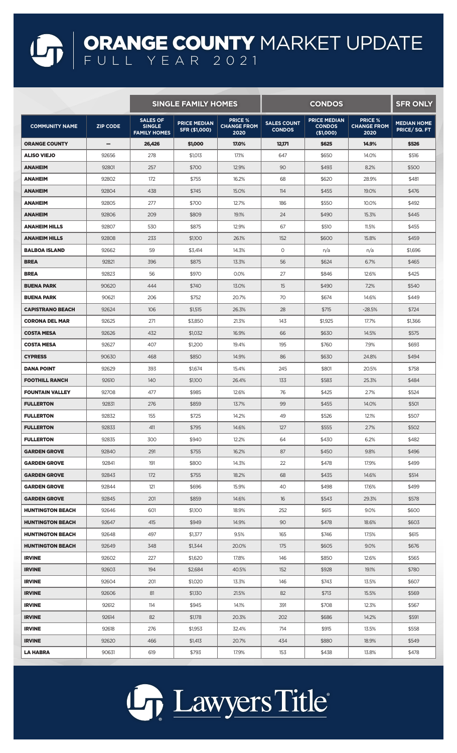## ORANGE COUNTY MARKET UPDATE FULL YEAR 2021

|                         |                 | <b>SINGLE FAMILY HOMES</b>                              |                                      |                                              | <b>CONDOS</b>                       |                                                   |                                              | <b>SFR ONLY</b>                   |
|-------------------------|-----------------|---------------------------------------------------------|--------------------------------------|----------------------------------------------|-------------------------------------|---------------------------------------------------|----------------------------------------------|-----------------------------------|
| <b>COMMUNITY NAME</b>   | <b>ZIP CODE</b> | <b>SALES OF</b><br><b>SINGLE</b><br><b>FAMILY HOMES</b> | <b>PRICE MEDIAN</b><br>SFR (\$1,000) | <b>PRICE %</b><br><b>CHANGE FROM</b><br>2020 | <b>SALES COUNT</b><br><b>CONDOS</b> | <b>PRICE MEDIAN</b><br><b>CONDOS</b><br>(\$1,000) | <b>PRICE %</b><br><b>CHANGE FROM</b><br>2020 | <b>MEDIAN HOME</b><br>PRICE/SQ.FT |
| ORANGE COUNTY           | -               | 26,426                                                  | \$1,000                              | 17.0%                                        | 12,171                              | \$625                                             | 14.9%                                        | \$526                             |
| <b>ALISO VIEJO</b>      | 92656           | 278                                                     | \$1,013                              | 17.1%                                        | 647                                 | \$650                                             | 14.0%                                        | \$516                             |
| ANAHEIM                 | 92801           | 257                                                     | \$700                                | 12.9%                                        | 90                                  | \$493                                             | 8.2%                                         | \$500                             |
| ANAHEIM                 | 92802           | 172                                                     | \$755                                | 16.2%                                        | 68                                  | \$620                                             | 28.9%                                        | \$481                             |
| <b>ANAHEIM</b>          | 92804           | 438                                                     | \$745                                | 15.0%                                        | 114                                 | \$455                                             | 19.0%                                        | \$476                             |
| ANAHEIM                 | 92805           | 277                                                     | \$700                                | 12.7%                                        | 186                                 | \$550                                             | 10.0%                                        | \$492                             |
| <b>ANAHEIM</b>          | 92806           | 209                                                     | \$809                                | 19.1%                                        | 24                                  | \$490                                             | 15.3%                                        | \$445                             |
| <b>ANAHEIM HILLS</b>    | 92807           | 530                                                     | \$875                                | 12.9%                                        | 67                                  | \$510                                             | 11.5%                                        | \$455                             |
| <b>ANAHEIM HILLS</b>    | 92808           | 233                                                     | \$1,100                              | 26.1%                                        | 152                                 | \$600                                             | 15.8%                                        | \$459                             |
| <b>BALBOA ISLAND</b>    | 92662           | 59                                                      | \$3,414                              | 14.3%                                        | 0                                   | n/a                                               | n/a                                          | \$1,696                           |
| <b>BREA</b>             | 92821           | 396                                                     | \$875                                | 13.3%                                        | 56                                  | \$624                                             | 6.7%                                         | \$465                             |
| <b>BREA</b>             | 92823           | 56                                                      | \$970                                | 0.0%                                         | 27                                  | \$846                                             | 12.6%                                        | \$425                             |
| <b>BUENA PARK</b>       | 90620           | 444                                                     | \$740                                | 13.0%                                        | 15                                  | \$490                                             | 7.2%                                         | \$540                             |
| <b>BUENA PARK</b>       | 90621           | 206                                                     | \$752                                | 20.7%                                        | 70                                  | \$674                                             | 14.6%                                        | \$449                             |
| CAPISTRANO BEACH        | 92624           | 106                                                     | \$1,515                              | 26.3%                                        | 28                                  | \$715                                             | $-28.5%$                                     | \$724                             |
| <b>CORONA DEL MAR</b>   | 92625           | 271                                                     | \$3,850                              | 21.3%                                        | 143                                 | \$1,925                                           | 17.7%                                        | \$1,366                           |
| <b>COSTA MESA</b>       | 92626           | 432                                                     | \$1,032                              | 16.9%                                        | 66                                  | \$630                                             | 14.5%                                        | \$575                             |
| <b>COSTA MESA</b>       | 92627           | 407                                                     | \$1,200                              | 19.4%                                        | 195                                 | \$760                                             | 7.9%                                         | \$693                             |
| <b>CYPRESS</b>          | 90630           | 468                                                     | \$850                                | 14.9%                                        | 86                                  | \$630                                             | 24.8%                                        | \$494                             |
| <b>DANA POINT</b>       | 92629           | 393                                                     | \$1,674                              | 15.4%                                        | 245                                 | \$801                                             | 20.5%                                        | \$758                             |
| <b>FOOTHILL RANCH</b>   | 92610           | 140                                                     | \$1,100                              | 26.4%                                        | 133                                 | \$583                                             | 25.3%                                        | \$484                             |
| <b>FOUNTAIN VALLEY</b>  | 92708           | 477                                                     | \$985                                | 12.6%                                        | 76                                  | \$425                                             | 2.7%                                         | \$524                             |
| <b>FULLERTON</b>        | 92831           | 276                                                     | \$859                                | 13.7%                                        | 99                                  | \$455                                             | 14.0%                                        | \$501                             |
| <b>FULLERTON</b>        | 92832           | 155                                                     | \$725                                | 14.2%                                        | 49                                  | \$526                                             | 12.1%                                        | \$507                             |
| <b>FULLERTON</b>        | 92833           | 411                                                     | \$795                                | 14.6%                                        | 127                                 | \$555                                             | 2.7%                                         | \$502                             |
| <b>FULLERTON</b>        | 92835           | 300                                                     | \$940                                | 12.2%                                        | 64                                  | \$430                                             | 6.2%                                         | \$482                             |
| <b>GARDEN GROVE</b>     | 92840           | 291                                                     | \$755                                | 16.2%                                        | 87                                  | \$450                                             | 9.8%                                         | \$496                             |
| <b>GARDEN GROVE</b>     | 92841           | 191                                                     | \$800                                | 14.3%                                        | 22                                  | \$478                                             | 17.9%                                        | \$499                             |
| <b>GARDEN GROVE</b>     | 92843           | 172                                                     | \$755                                | 18.2%                                        | 68                                  | \$435                                             | 14.6%                                        | \$514                             |
| <b>GARDEN GROVE</b>     | 92844           | 121                                                     | \$696                                | 15.9%                                        | 40                                  | \$498                                             | 17.6%                                        | \$499                             |
| <b>GARDEN GROVE</b>     | 92845           | 201                                                     | \$859                                | 14.6%                                        | 16                                  | \$543                                             | 29.3%                                        | \$578                             |
| <b>HUNTINGTON BEACH</b> | 92646           | 601                                                     | \$1,100                              | 18.9%                                        | 252                                 | \$615                                             | 9.0%                                         | \$600                             |
| <b>HUNTINGTON BEACH</b> | 92647           | 415                                                     | \$949                                | 14.9%                                        | 90                                  | \$478                                             | 18.6%                                        | \$603                             |
| <b>HUNTINGTON BEACH</b> | 92648           | 497                                                     | \$1,377                              | 9.5%                                         | 165                                 | \$746                                             | 17.5%                                        | \$615                             |
| <b>HUNTINGTON BEACH</b> | 92649           | 348                                                     | \$1,344                              | 20.0%                                        | 175                                 | \$605                                             | 9.0%                                         | \$676                             |
| <b>IRVINE</b>           | 92602           | 227                                                     | \$1,620                              | 17.8%                                        | 146                                 | \$850                                             | 12.6%                                        | \$565                             |
| <b>IRVINE</b>           | 92603           | 194                                                     | \$2,684                              | 40.5%                                        | 152                                 | \$928                                             | 19.1%                                        | \$780                             |
| <b>IRVINE</b>           | 92604           | 201                                                     | \$1,020                              | 13.3%                                        | 146                                 | \$743                                             | 13.5%                                        | \$607                             |
| <b>IRVINE</b>           | 92606           | 81                                                      | \$1,130                              | 21.5%                                        | 82                                  | \$713                                             | 15.5%                                        | \$569                             |
| <b>IRVINE</b>           | 92612           | 114                                                     | \$945                                | 14.1%                                        | 391                                 | \$708                                             | 12.3%                                        | \$567                             |
| <b>IRVINE</b>           | 92614           | 82                                                      | \$1,178                              | 20.3%                                        | 202                                 | \$686                                             | 14.2%                                        | \$591                             |
| <b>IRVINE</b>           | 92618           | 276                                                     | \$1,953                              | 32.4%                                        | 714                                 | \$915                                             | 13.5%                                        | \$558                             |
| <b>IRVINE</b>           | 92620           | 466                                                     | \$1,413                              | 20.7%                                        | 434                                 | \$880                                             | 18.9%                                        | \$549                             |
| LA HABRA                | 90631           | 619                                                     | \$793                                | 17.9%                                        | 153                                 | \$438                                             | 13.8%                                        | \$478                             |